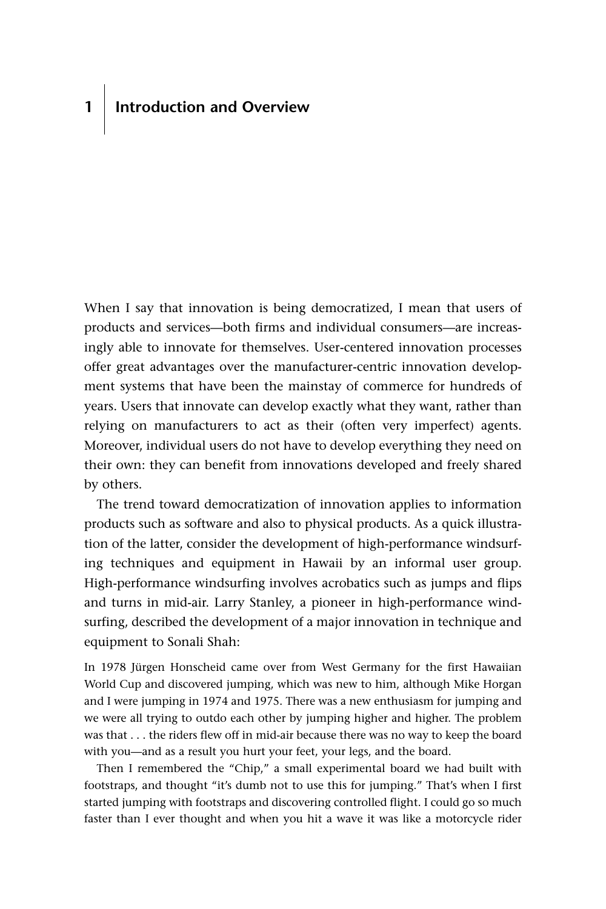# **1** Introduction and Overview

When I say that innovation is being democratized, I mean that users of products and services—both firms and individual consumers—are increasingly able to innovate for themselves. User-centered innovation processes offer great advantages over the manufacturer-centric innovation development systems that have been the mainstay of commerce for hundreds of years. Users that innovate can develop exactly what they want, rather than relying on manufacturers to act as their (often very imperfect) agents. [Moreover, individual users do not have to develop everything they need on](#page--1-0) their own: they can benefit from innovations developed and freely shared by others.

The trend toward democratization of innovation applies to information products such as software and also to physical products. As a quick illustration of the latter, consider the development of high-performance windsurfing techniques and equipment in Hawaii by an informal user group. High-performance windsurfing involves acrobatics such as jumps and flips and turns in mid-air. Larry Stanley, a pioneer in high-performance windsurfing, described the development of a major innovation in technique and equipment to Sonali Shah:

In 1978 Jürgen Honscheid came over from West Germany for the first Hawaiian World Cup and discovered jumping, which was new to him, although Mike Horgan and I were jumping in 1974 and 1975. There was a new enthusiasm for jumping and we were all trying to outdo each other by jumping higher and higher. The problem was that . . . the riders flew off in mid-air because there was no way to keep the board with you—and as a result you hurt your feet, your legs, and the board.

Then I remembered the "Chip," a small experimental board we had built with footstraps, and thought "it's dumb not to use this for jumping." That's when I first started jumping with footstraps and discovering controlled flight. I could go so much faster than I ever thought and when you hit a wave it was like a motorcycle rider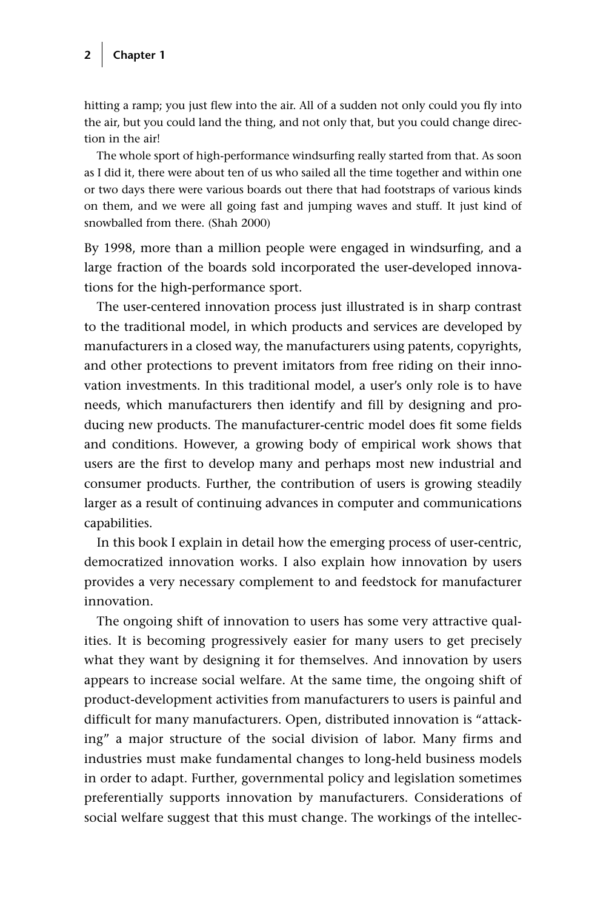**2 Chapter 1**

hitting a ramp; you just flew into the air. All of a sudden not only could you fly into the air, but you could land the thing, and not only that, but you could change direction in the air!

The whole sport of high-performance windsurfing really started from that. As soon as I did it, there were about ten of us who sailed all the time together and within one or two days there were various boards out there that had footstraps of various kinds on them, and we were all going fast and jumping waves and stuff. It just kind of snowballed from there. (Shah 2000)

By 1998, more than a million people were engaged in windsurfing, and a large fraction of the boards sold incorporated the user-developed innovations for the high-performance sport.

The user-centered innovation process just illustrated is in sharp contrast to the traditional model, in which products and services are developed by manufacturers in a closed way, the manufacturers using patents, copyrights, and other protections to prevent imitators from free riding on their innovation investments. In this traditional model, a user's only role is to have needs, which manufacturers then identify and fill by designing and producing new products. The manufacturer-centric model does fit some fields and conditions. However, a growing body of empirical work shows that users are the first to develop many and perhaps most new industrial and consumer products. Further, the contribution of users is growing steadily larger as a result of continuing advances in computer and communications capabilities.

In this book I explain in detail how the emerging process of user-centric, democratized innovation works. I also explain how innovation by users provides a very necessary complement to and feedstock for manufacturer innovation.

The ongoing shift of innovation to users has some very attractive qualities. It is becoming progressively easier for many users to get precisely what they want by designing it for themselves. And innovation by users appears to increase social welfare. At the same time, the ongoing shift of product-development activities from manufacturers to users is painful and difficult for many manufacturers. Open, distributed innovation is "attacking" a major structure of the social division of labor. Many firms and industries must make fundamental changes to long-held business models in order to adapt. Further, governmental policy and legislation sometimes preferentially supports innovation by manufacturers. Considerations of social welfare suggest that this must change. The workings of the intellec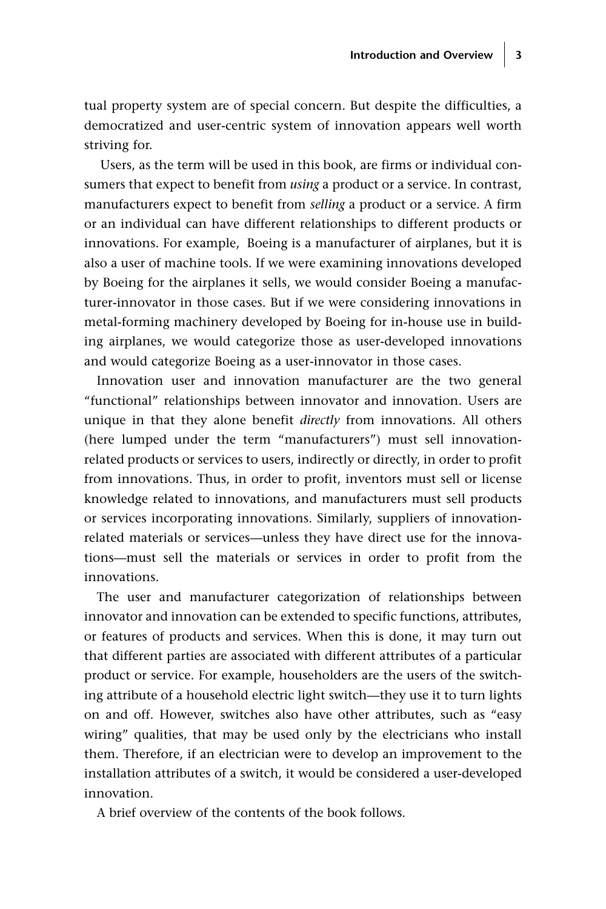tual property system are of special concern. But despite the difficulties, a democratized and user-centric system of innovation appears well worth striving for.

Users, as the term will be used in this book, are firms or individual consumers that expect to benefit from *using* a product or a service. In contrast, manufacturers expect to benefit from *selling* a product or a service. A firm or an individual can have different relationships to different products or innovations. For example, Boeing is a manufacturer of airplanes, but it is also a user of machine tools. If we were examining innovations developed by Boeing for the airplanes it sells, we would consider Boeing a manufacturer-innovator in those cases. But if we were considering innovations in metal-forming machinery developed by Boeing for in-house use in building airplanes, we would categorize those as user-developed innovations and would categorize Boeing as a user-innovator in those cases.

Innovation user and innovation manufacturer are the two general "functional" relationships between innovator and innovation. Users are unique in that they alone benefit *directly* from innovations. All others (here lumped under the term "manufacturers") must sell innovationrelated products or services to users, indirectly or directly, in order to profit from innovations. Thus, in order to profit, inventors must sell or license knowledge related to innovations, and manufacturers must sell products or services incorporating innovations. Similarly, suppliers of innovationrelated materials or services—unless they have direct use for the innovations—must sell the materials or services in order to profit from the innovations.

The user and manufacturer categorization of relationships between innovator and innovation can be extended to specific functions, attributes, or features of products and services. When this is done, it may turn out that different parties are associated with different attributes of a particular product or service. For example, householders are the users of the switching attribute of a household electric light switch—they use it to turn lights on and off. However, switches also have other attributes, such as "easy wiring" qualities, that may be used only by the electricians who install them. Therefore, if an electrician were to develop an improvement to the installation attributes of a switch, it would be considered a user-developed innovation.

A brief overview of the contents of the book follows.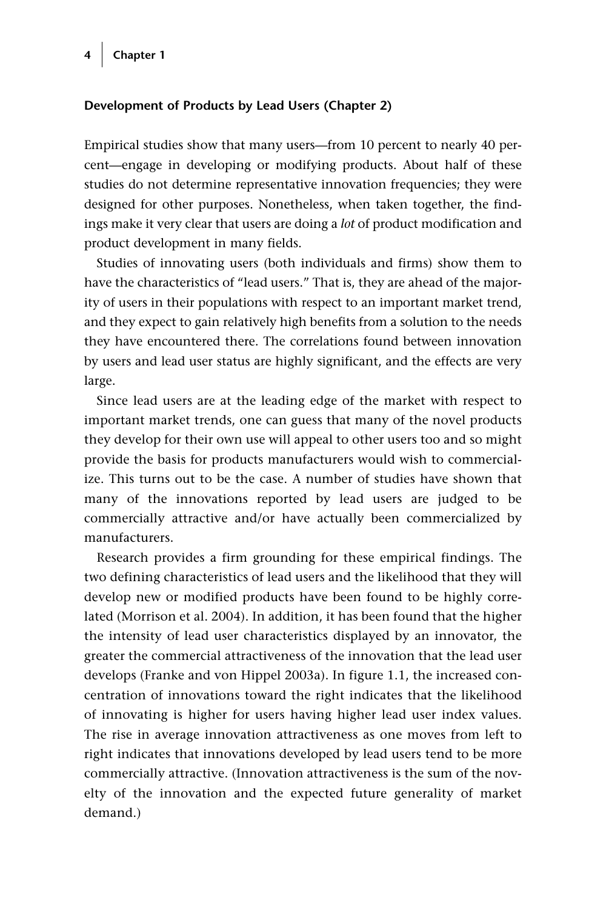## **Development of Products by Lead Users (Chapter 2)**

Empirical studies show that many users—from 10 percent to nearly 40 percent—engage in developing or modifying products. About half of these studies do not determine representative innovation frequencies; they were designed for other purposes. Nonetheless, when taken together, the findings make it very clear that users are doing a *lot* of product modification and product development in many fields.

Studies of innovating users (both individuals and firms) show them to have the characteristics of "lead users." That is, they are ahead of the majority of users in their populations with respect to an important market trend, and they expect to gain relatively high benefits from a solution to the needs they have encountered there. The correlations found between innovation by users and lead user status are highly significant, and the effects are very large.

Since lead users are at the leading edge of the market with respect to important market trends, one can guess that many of the novel products they develop for their own use will appeal to other users too and so might provide the basis for products manufacturers would wish to commercialize. This turns out to be the case. A number of studies have shown that many of the innovations reported by lead users are judged to be commercially attractive and/or have actually been commercialized by manufacturers.

Research provides a firm grounding for these empirical findings. The two defining characteristics of lead users and the likelihood that they will develop new or modified products have been found to be highly correlated (Morrison et al. 2004). In addition, it has been found that the higher the intensity of lead user characteristics displayed by an innovator, the greater the commercial attractiveness of the innovation that the lead user develops (Franke and von Hippel 2003a). In figure 1.1, the increased concentration of innovations toward the right indicates that the likelihood of innovating is higher for users having higher lead user index values. The rise in average innovation attractiveness as one moves from left to right indicates that innovations developed by lead users tend to be more commercially attractive. (Innovation attractiveness is the sum of the novelty of the innovation and the expected future generality of market demand.)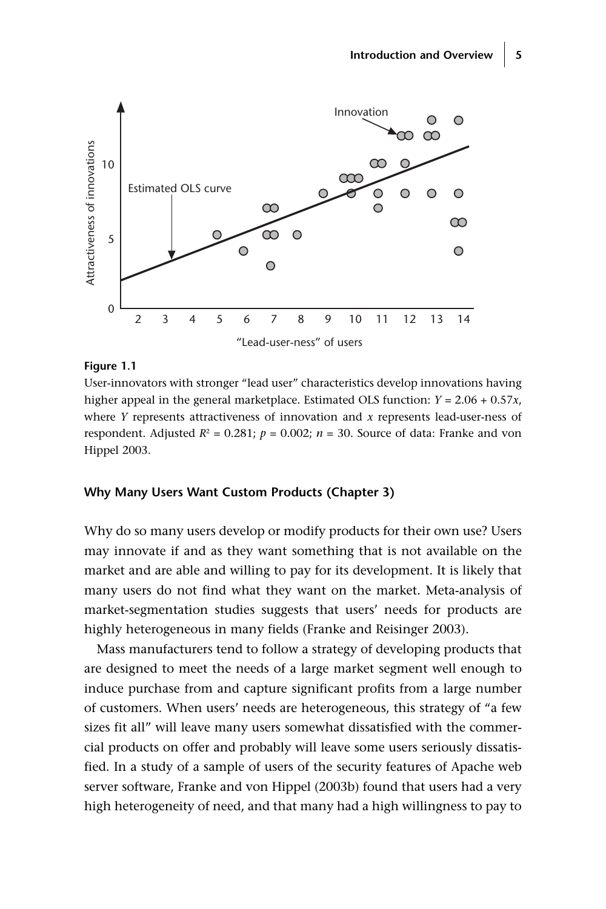

#### **Figure 1.1**

User-innovators with stronger "lead user" characteristics develop innovations having higher appeal in the general marketplace. Estimated OLS function: *Y* = 2.06 + 0.57*x*, where *Y* represents attractiveness of innovation and *x* represents lead-user-ness of respondent. Adjusted  $R^2 = 0.281$ ;  $p = 0.002$ ;  $n = 30$ . Source of data: Franke and von Hippel 2003.

### **Why Many Users Want Custom Products (Chapter 3)**

Why do so many users develop or modify products for their own use? Users may innovate if and as they want something that is not available on the market and are able and willing to pay for its development. It is likely that many users do not find what they want on the market. Meta-analysis of market-segmentation studies suggests that users' needs for products are highly heterogeneous in many fields (Franke and Reisinger 2003).

Mass manufacturers tend to follow a strategy of developing products that are designed to meet the needs of a large market segment well enough to induce purchase from and capture significant profits from a large number of customers. When users' needs are heterogeneous, this strategy of "a few sizes fit all" will leave many users somewhat dissatisfied with the commercial products on offer and probably will leave some users seriously dissatisfied. In a study of a sample of users of the security features of Apache web server software, Franke and von Hippel (2003b) found that users had a very high heterogeneity of need, and that many had a high willingness to pay to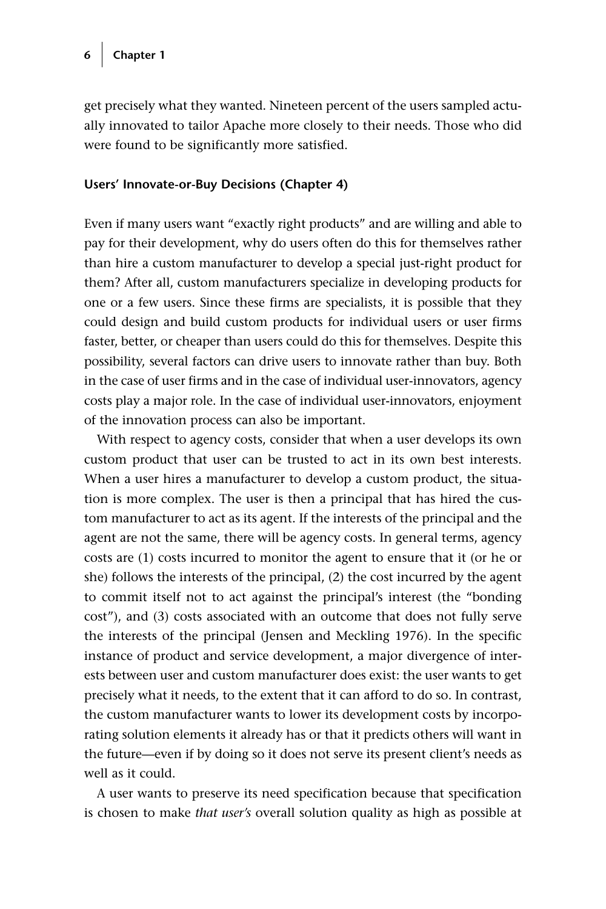get precisely what they wanted. Nineteen percent of the users sampled actually innovated to tailor Apache more closely to their needs. Those who did were found to be significantly more satisfied.

# **Users' Innovate-or-Buy Decisions (Chapter 4)**

Even if many users want "exactly right products" and are willing and able to pay for their development, why do users often do this for themselves rather than hire a custom manufacturer to develop a special just-right product for them? After all, custom manufacturers specialize in developing products for one or a few users. Since these firms are specialists, it is possible that they could design and build custom products for individual users or user firms faster, better, or cheaper than users could do this for themselves. Despite this possibility, several factors can drive users to innovate rather than buy. Both in the case of user firms and in the case of individual user-innovators, agency costs play a major role. In the case of individual user-innovators, enjoyment of the innovation process can also be important.

With respect to agency costs, consider that when a user develops its own custom product that user can be trusted to act in its own best interests. When a user hires a manufacturer to develop a custom product, the situation is more complex. The user is then a principal that has hired the custom manufacturer to act as its agent. If the interests of the principal and the agent are not the same, there will be agency costs. In general terms, agency costs are (1) costs incurred to monitor the agent to ensure that it (or he or she) follows the interests of the principal, (2) the cost incurred by the agent to commit itself not to act against the principal's interest (the "bonding cost"), and (3) costs associated with an outcome that does not fully serve the interests of the principal (Jensen and Meckling 1976). In the specific instance of product and service development, a major divergence of interests between user and custom manufacturer does exist: the user wants to get precisely what it needs, to the extent that it can afford to do so. In contrast, the custom manufacturer wants to lower its development costs by incorporating solution elements it already has or that it predicts others will want in the future—even if by doing so it does not serve its present client's needs as well as it could.

A user wants to preserve its need specification because that specification is chosen to make *that user's* overall solution quality as high as possible at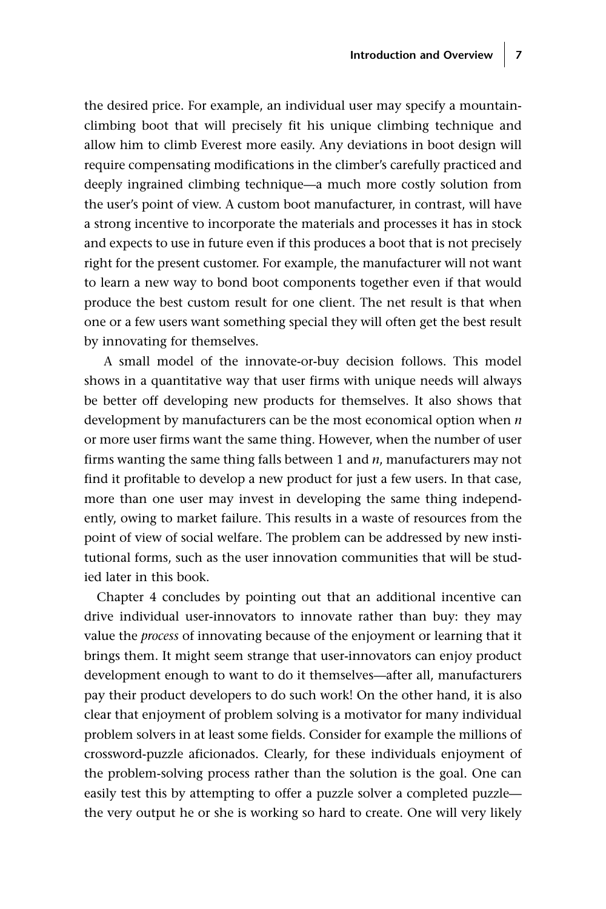the desired price. For example, an individual user may specify a mountainclimbing boot that will precisely fit his unique climbing technique and allow him to climb Everest more easily. Any deviations in boot design will require compensating modifications in the climber's carefully practiced and deeply ingrained climbing technique—a much more costly solution from the user's point of view. A custom boot manufacturer, in contrast, will have a strong incentive to incorporate the materials and processes it has in stock and expects to use in future even if this produces a boot that is not precisely right for the present customer. For example, the manufacturer will not want to learn a new way to bond boot components together even if that would produce the best custom result for one client. The net result is that when one or a few users want something special they will often get the best result by innovating for themselves.

A small model of the innovate-or-buy decision follows. This model shows in a quantitative way that user firms with unique needs will always be better off developing new products for themselves. It also shows that development by manufacturers can be the most economical option when *n* or more user firms want the same thing. However, when the number of user firms wanting the same thing falls between 1 and *n*, manufacturers may not find it profitable to develop a new product for just a few users. In that case, more than one user may invest in developing the same thing independently, owing to market failure. This results in a waste of resources from the point of view of social welfare. The problem can be addressed by new institutional forms, such as the user innovation communities that will be studied later in this book.

Chapter 4 concludes by pointing out that an additional incentive can drive individual user-innovators to innovate rather than buy: they may value the *process* of innovating because of the enjoyment or learning that it brings them. It might seem strange that user-innovators can enjoy product development enough to want to do it themselves—after all, manufacturers pay their product developers to do such work! On the other hand, it is also clear that enjoyment of problem solving is a motivator for many individual problem solvers in at least some fields. Consider for example the millions of crossword-puzzle aficionados. Clearly, for these individuals enjoyment of the problem-solving process rather than the solution is the goal. One can easily test this by attempting to offer a puzzle solver a completed puzzle the very output he or she is working so hard to create. One will very likely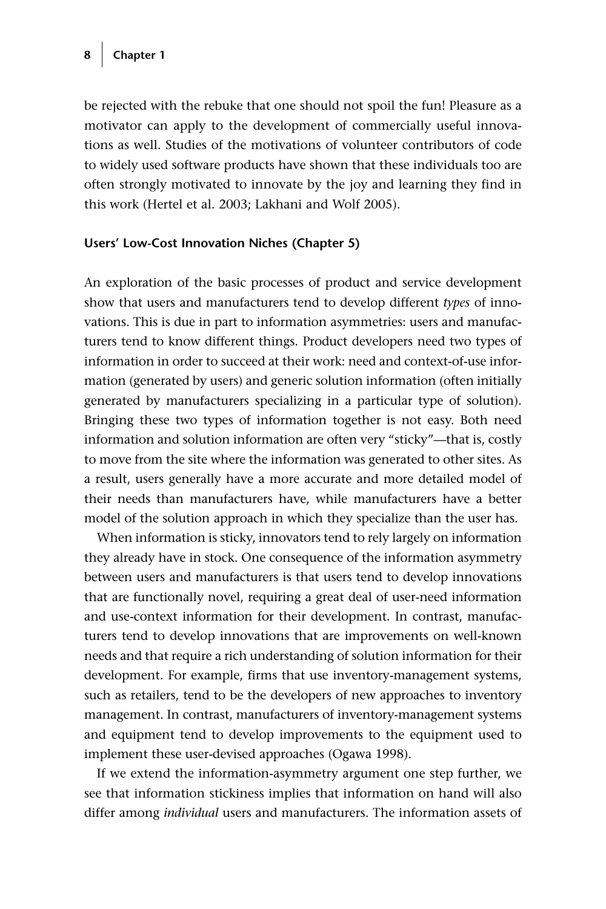be rejected with the rebuke that one should not spoil the fun! Pleasure as a motivator can apply to the development of commercially useful innovations as well. Studies of the motivations of volunteer contributors of code to widely used software products have shown that these individuals too are often strongly motivated to innovate by the joy and learning they find in this work (Hertel et al. 2003; Lakhani and Wolf 2005).

#### **Users' Low-Cost Innovation Niches (Chapter 5)**

An exploration of the basic processes of product and service development show that users and manufacturers tend to develop different *types* of innovations. This is due in part to information asymmetries: users and manufacturers tend to know different things. Product developers need two types of information in order to succeed at their work: need and context-of-use information (generated by users) and generic solution information (often initially generated by manufacturers specializing in a particular type of solution). Bringing these two types of information together is not easy. Both need information and solution information are often very "sticky"—that is, costly to move from the site where the information was generated to other sites. As a result, users generally have a more accurate and more detailed model of their needs than manufacturers have, while manufacturers have a better model of the solution approach in which they specialize than the user has.

When information is sticky, innovators tend to rely largely on information they already have in stock. One consequence of the information asymmetry between users and manufacturers is that users tend to develop innovations that are functionally novel, requiring a great deal of user-need information and use-context information for their development. In contrast, manufacturers tend to develop innovations that are improvements on well-known needs and that require a rich understanding of solution information for their development. For example, firms that use inventory-management systems, such as retailers, tend to be the developers of new approaches to inventory management. In contrast, manufacturers of inventory-management systems and equipment tend to develop improvements to the equipment used to implement these user-devised approaches (Ogawa 1998).

If we extend the information-asymmetry argument one step further, we see that information stickiness implies that information on hand will also differ among *individual* users and manufacturers. The information assets of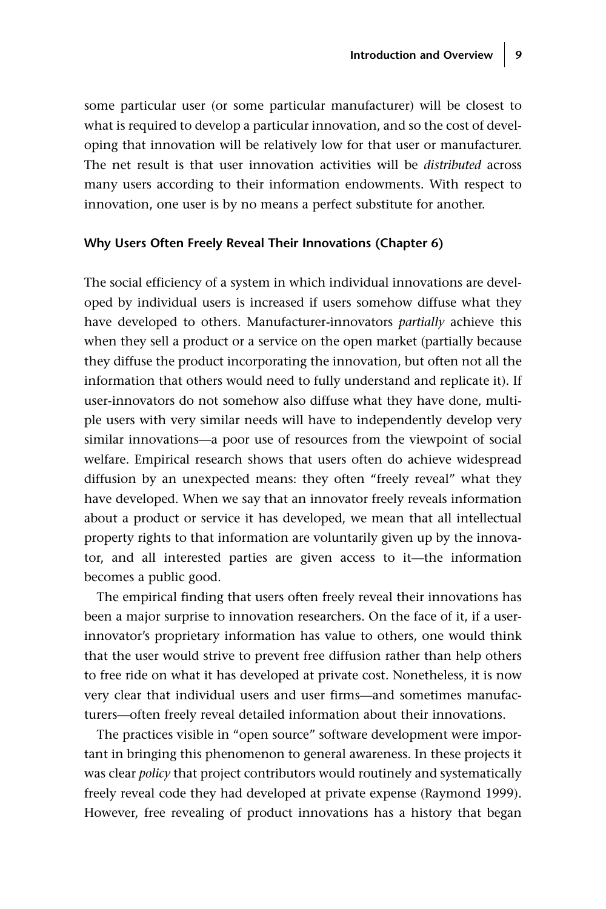some particular user (or some particular manufacturer) will be closest to what is required to develop a particular innovation, and so the cost of developing that innovation will be relatively low for that user or manufacturer. The net result is that user innovation activities will be *distributed* across many users according to their information endowments. With respect to innovation, one user is by no means a perfect substitute for another.

#### **Why Users Often Freely Reveal Their Innovations (Chapter 6)**

The social efficiency of a system in which individual innovations are developed by individual users is increased if users somehow diffuse what they have developed to others. Manufacturer-innovators *partially* achieve this when they sell a product or a service on the open market (partially because they diffuse the product incorporating the innovation, but often not all the information that others would need to fully understand and replicate it). If user-innovators do not somehow also diffuse what they have done, multiple users with very similar needs will have to independently develop very similar innovations—a poor use of resources from the viewpoint of social welfare. Empirical research shows that users often do achieve widespread diffusion by an unexpected means: they often "freely reveal" what they have developed. When we say that an innovator freely reveals information about a product or service it has developed, we mean that all intellectual property rights to that information are voluntarily given up by the innovator, and all interested parties are given access to it—the information becomes a public good.

The empirical finding that users often freely reveal their innovations has been a major surprise to innovation researchers. On the face of it, if a userinnovator's proprietary information has value to others, one would think that the user would strive to prevent free diffusion rather than help others to free ride on what it has developed at private cost. Nonetheless, it is now very clear that individual users and user firms—and sometimes manufacturers—often freely reveal detailed information about their innovations.

The practices visible in "open source" software development were important in bringing this phenomenon to general awareness. In these projects it was clear *policy* that project contributors would routinely and systematically freely reveal code they had developed at private expense (Raymond 1999). However, free revealing of product innovations has a history that began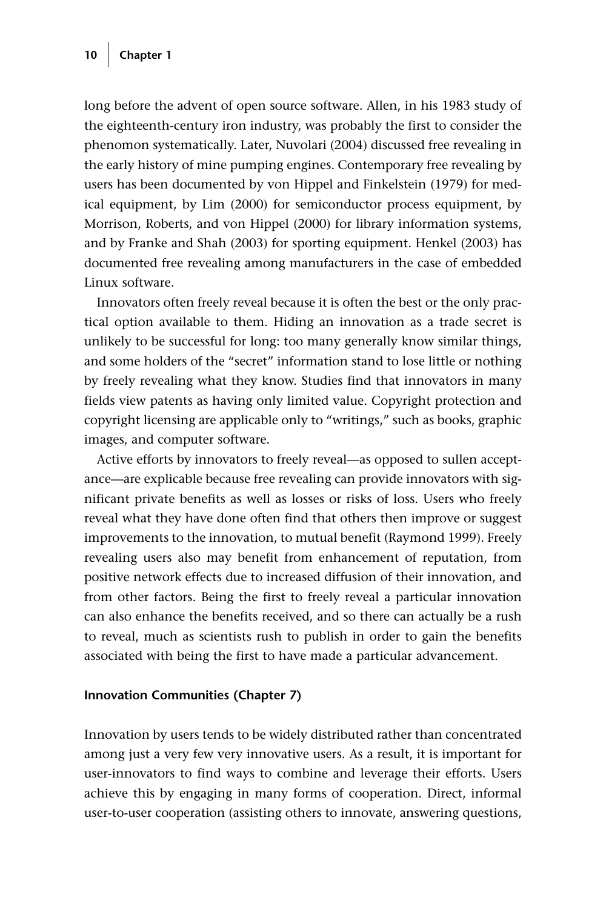long before the advent of open source software. Allen, in his 1983 study of the eighteenth-century iron industry, was probably the first to consider the phenomon systematically. Later, Nuvolari (2004) discussed free revealing in the early history of mine pumping engines. Contemporary free revealing by users has been documented by von Hippel and Finkelstein (1979) for medical equipment, by Lim (2000) for semiconductor process equipment, by Morrison, Roberts, and von Hippel (2000) for library information systems, and by Franke and Shah (2003) for sporting equipment. Henkel (2003) has documented free revealing among manufacturers in the case of embedded Linux software.

Innovators often freely reveal because it is often the best or the only practical option available to them. Hiding an innovation as a trade secret is unlikely to be successful for long: too many generally know similar things, and some holders of the "secret" information stand to lose little or nothing by freely revealing what they know. Studies find that innovators in many fields view patents as having only limited value. Copyright protection and copyright licensing are applicable only to "writings," such as books, graphic images, and computer software.

Active efforts by innovators to freely reveal—as opposed to sullen acceptance—are explicable because free revealing can provide innovators with significant private benefits as well as losses or risks of loss. Users who freely reveal what they have done often find that others then improve or suggest improvements to the innovation, to mutual benefit (Raymond 1999). Freely revealing users also may benefit from enhancement of reputation, from positive network effects due to increased diffusion of their innovation, and from other factors. Being the first to freely reveal a particular innovation can also enhance the benefits received, and so there can actually be a rush to reveal, much as scientists rush to publish in order to gain the benefits associated with being the first to have made a particular advancement.

# **Innovation Communities (Chapter 7)**

Innovation by users tends to be widely distributed rather than concentrated among just a very few very innovative users. As a result, it is important for user-innovators to find ways to combine and leverage their efforts. Users achieve this by engaging in many forms of cooperation. Direct, informal user-to-user cooperation (assisting others to innovate, answering questions,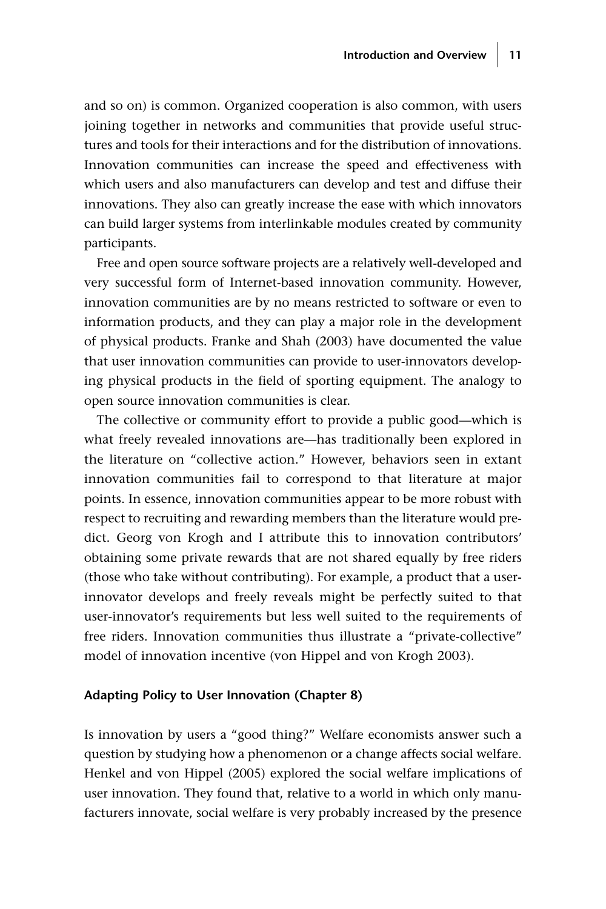and so on) is common. Organized cooperation is also common, with users joining together in networks and communities that provide useful structures and tools for their interactions and for the distribution of innovations. Innovation communities can increase the speed and effectiveness with which users and also manufacturers can develop and test and diffuse their innovations. They also can greatly increase the ease with which innovators can build larger systems from interlinkable modules created by community participants.

Free and open source software projects are a relatively well-developed and very successful form of Internet-based innovation community. However, innovation communities are by no means restricted to software or even to information products, and they can play a major role in the development of physical products. Franke and Shah (2003) have documented the value that user innovation communities can provide to user-innovators developing physical products in the field of sporting equipment. The analogy to open source innovation communities is clear.

The collective or community effort to provide a public good—which is what freely revealed innovations are—has traditionally been explored in the literature on "collective action." However, behaviors seen in extant innovation communities fail to correspond to that literature at major points. In essence, innovation communities appear to be more robust with respect to recruiting and rewarding members than the literature would predict. Georg von Krogh and I attribute this to innovation contributors' obtaining some private rewards that are not shared equally by free riders (those who take without contributing). For example, a product that a userinnovator develops and freely reveals might be perfectly suited to that user-innovator's requirements but less well suited to the requirements of free riders. Innovation communities thus illustrate a "private-collective" model of innovation incentive (von Hippel and von Krogh 2003).

# **Adapting Policy to User Innovation (Chapter 8)**

Is innovation by users a "good thing?" Welfare economists answer such a question by studying how a phenomenon or a change affects social welfare. Henkel and von Hippel (2005) explored the social welfare implications of user innovation. They found that, relative to a world in which only manufacturers innovate, social welfare is very probably increased by the presence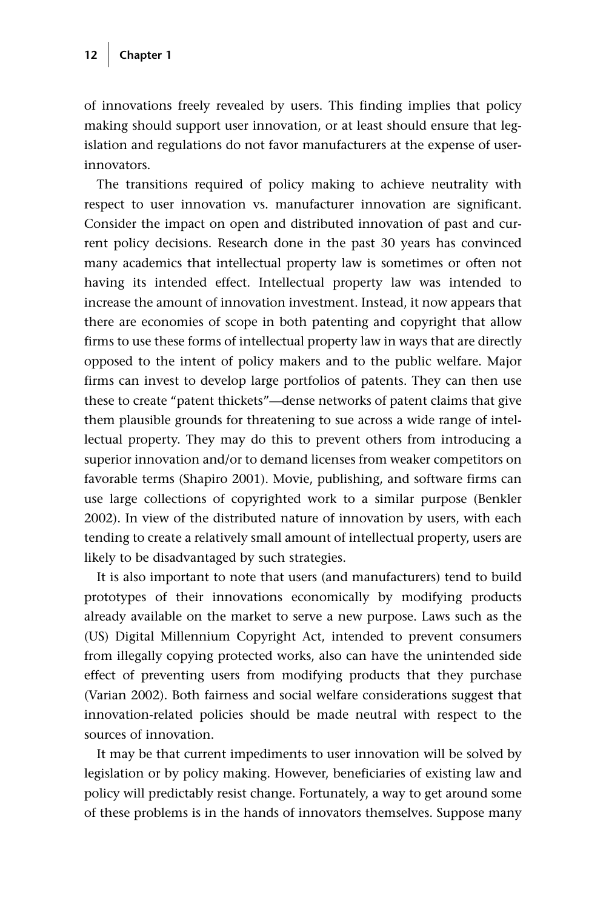of innovations freely revealed by users. This finding implies that policy making should support user innovation, or at least should ensure that legislation and regulations do not favor manufacturers at the expense of userinnovators.

The transitions required of policy making to achieve neutrality with respect to user innovation vs. manufacturer innovation are significant. Consider the impact on open and distributed innovation of past and current policy decisions. Research done in the past 30 years has convinced many academics that intellectual property law is sometimes or often not having its intended effect. Intellectual property law was intended to increase the amount of innovation investment. Instead, it now appears that there are economies of scope in both patenting and copyright that allow firms to use these forms of intellectual property law in ways that are directly opposed to the intent of policy makers and to the public welfare. Major firms can invest to develop large portfolios of patents. They can then use these to create "patent thickets"—dense networks of patent claims that give them plausible grounds for threatening to sue across a wide range of intellectual property. They may do this to prevent others from introducing a superior innovation and/or to demand licenses from weaker competitors on favorable terms (Shapiro 2001). Movie, publishing, and software firms can use large collections of copyrighted work to a similar purpose (Benkler 2002). In view of the distributed nature of innovation by users, with each tending to create a relatively small amount of intellectual property, users are likely to be disadvantaged by such strategies.

It is also important to note that users (and manufacturers) tend to build prototypes of their innovations economically by modifying products already available on the market to serve a new purpose. Laws such as the (US) Digital Millennium Copyright Act, intended to prevent consumers from illegally copying protected works, also can have the unintended side effect of preventing users from modifying products that they purchase (Varian 2002). Both fairness and social welfare considerations suggest that innovation-related policies should be made neutral with respect to the sources of innovation.

It may be that current impediments to user innovation will be solved by legislation or by policy making. However, beneficiaries of existing law and policy will predictably resist change. Fortunately, a way to get around some of these problems is in the hands of innovators themselves. Suppose many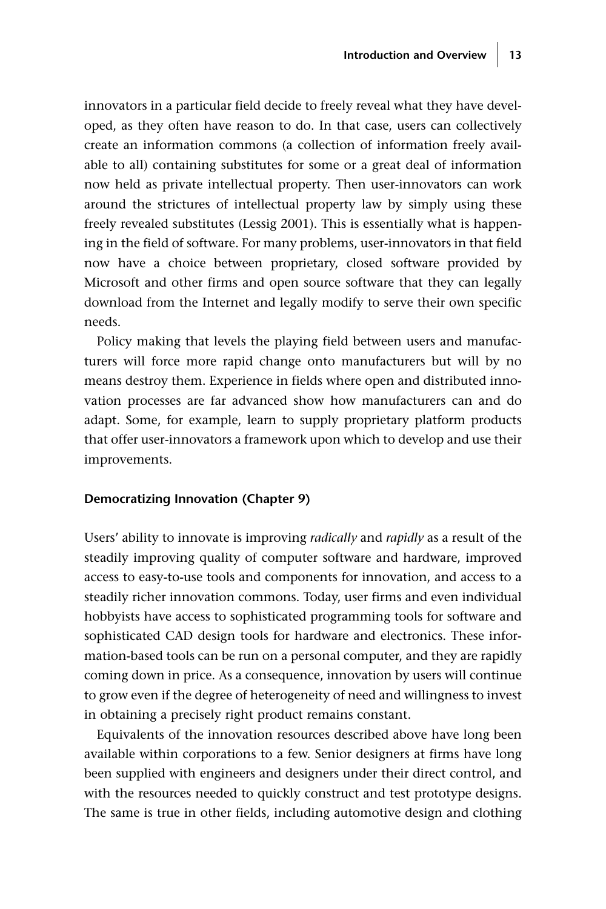innovators in a particular field decide to freely reveal what they have developed, as they often have reason to do. In that case, users can collectively create an information commons (a collection of information freely available to all) containing substitutes for some or a great deal of information now held as private intellectual property. Then user-innovators can work around the strictures of intellectual property law by simply using these freely revealed substitutes (Lessig 2001). This is essentially what is happening in the field of software. For many problems, user-innovators in that field now have a choice between proprietary, closed software provided by Microsoft and other firms and open source software that they can legally download from the Internet and legally modify to serve their own specific needs.

Policy making that levels the playing field between users and manufacturers will force more rapid change onto manufacturers but will by no means destroy them. Experience in fields where open and distributed innovation processes are far advanced show how manufacturers can and do adapt. Some, for example, learn to supply proprietary platform products that offer user-innovators a framework upon which to develop and use their improvements.

# **Democratizing Innovation (Chapter 9)**

Users' ability to innovate is improving *radically* and *rapidly* as a result of the steadily improving quality of computer software and hardware, improved access to easy-to-use tools and components for innovation, and access to a steadily richer innovation commons. Today, user firms and even individual hobbyists have access to sophisticated programming tools for software and sophisticated CAD design tools for hardware and electronics. These information-based tools can be run on a personal computer, and they are rapidly coming down in price. As a consequence, innovation by users will continue to grow even if the degree of heterogeneity of need and willingness to invest in obtaining a precisely right product remains constant.

Equivalents of the innovation resources described above have long been available within corporations to a few. Senior designers at firms have long been supplied with engineers and designers under their direct control, and with the resources needed to quickly construct and test prototype designs. The same is true in other fields, including automotive design and clothing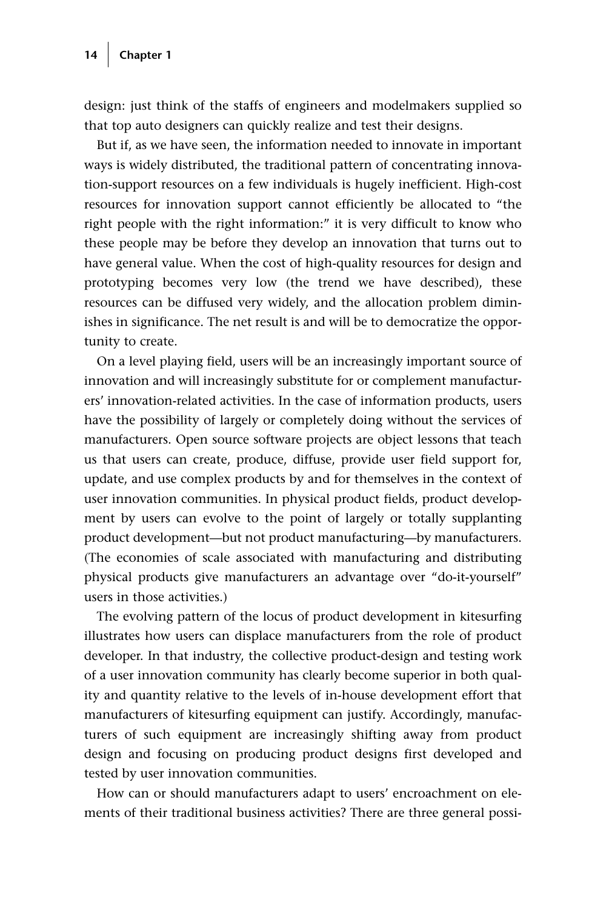design: just think of the staffs of engineers and modelmakers supplied so that top auto designers can quickly realize and test their designs.

But if, as we have seen, the information needed to innovate in important ways is widely distributed, the traditional pattern of concentrating innovation-support resources on a few individuals is hugely inefficient. High-cost resources for innovation support cannot efficiently be allocated to "the right people with the right information:" it is very difficult to know who these people may be before they develop an innovation that turns out to have general value. When the cost of high-quality resources for design and prototyping becomes very low (the trend we have described), these resources can be diffused very widely, and the allocation problem diminishes in significance. The net result is and will be to democratize the opportunity to create.

On a level playing field, users will be an increasingly important source of innovation and will increasingly substitute for or complement manufacturers' innovation-related activities. In the case of information products, users have the possibility of largely or completely doing without the services of manufacturers. Open source software projects are object lessons that teach us that users can create, produce, diffuse, provide user field support for, update, and use complex products by and for themselves in the context of user innovation communities. In physical product fields, product development by users can evolve to the point of largely or totally supplanting product development—but not product manufacturing—by manufacturers. (The economies of scale associated with manufacturing and distributing physical products give manufacturers an advantage over "do-it-yourself" users in those activities.)

The evolving pattern of the locus of product development in kitesurfing illustrates how users can displace manufacturers from the role of product developer. In that industry, the collective product-design and testing work of a user innovation community has clearly become superior in both quality and quantity relative to the levels of in-house development effort that manufacturers of kitesurfing equipment can justify. Accordingly, manufacturers of such equipment are increasingly shifting away from product design and focusing on producing product designs first developed and tested by user innovation communities.

How can or should manufacturers adapt to users' encroachment on elements of their traditional business activities? There are three general possi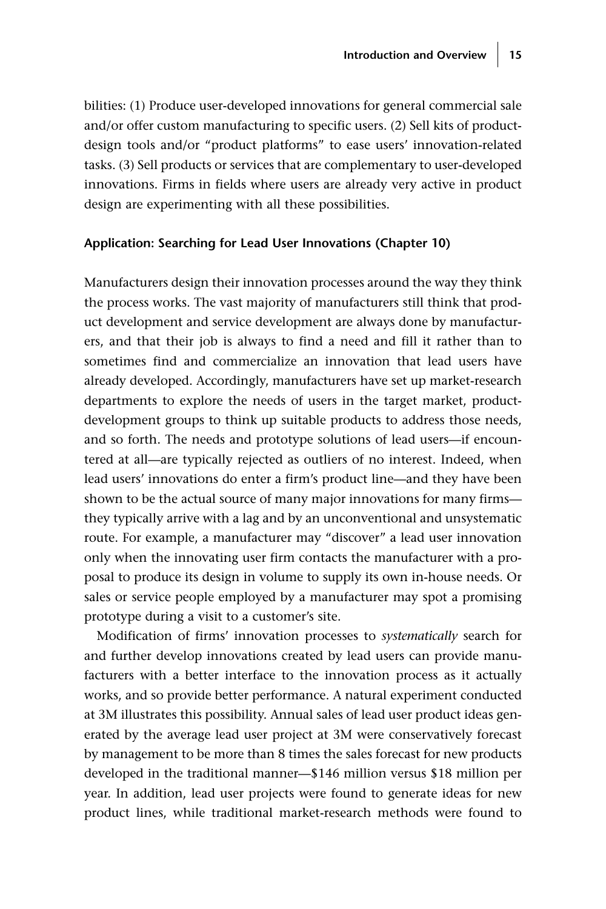bilities: (1) Produce user-developed innovations for general commercial sale and/or offer custom manufacturing to specific users. (2) Sell kits of productdesign tools and/or "product platforms" to ease users' innovation-related tasks. (3) Sell products or services that are complementary to user-developed innovations. Firms in fields where users are already very active in product design are experimenting with all these possibilities.

### **Application: Searching for Lead User Innovations (Chapter 10)**

Manufacturers design their innovation processes around the way they think the process works. The vast majority of manufacturers still think that product development and service development are always done by manufacturers, and that their job is always to find a need and fill it rather than to sometimes find and commercialize an innovation that lead users have already developed. Accordingly, manufacturers have set up market-research departments to explore the needs of users in the target market, productdevelopment groups to think up suitable products to address those needs, and so forth. The needs and prototype solutions of lead users—if encountered at all—are typically rejected as outliers of no interest. Indeed, when lead users' innovations do enter a firm's product line—and they have been shown to be the actual source of many major innovations for many firms they typically arrive with a lag and by an unconventional and unsystematic route. For example, a manufacturer may "discover" a lead user innovation only when the innovating user firm contacts the manufacturer with a proposal to produce its design in volume to supply its own in-house needs. Or sales or service people employed by a manufacturer may spot a promising prototype during a visit to a customer's site.

Modification of firms' innovation processes to *systematically* search for and further develop innovations created by lead users can provide manufacturers with a better interface to the innovation process as it actually works, and so provide better performance. A natural experiment conducted at 3M illustrates this possibility. Annual sales of lead user product ideas generated by the average lead user project at 3M were conservatively forecast by management to be more than 8 times the sales forecast for new products developed in the traditional manner—\$146 million versus \$18 million per year. In addition, lead user projects were found to generate ideas for new product lines, while traditional market-research methods were found to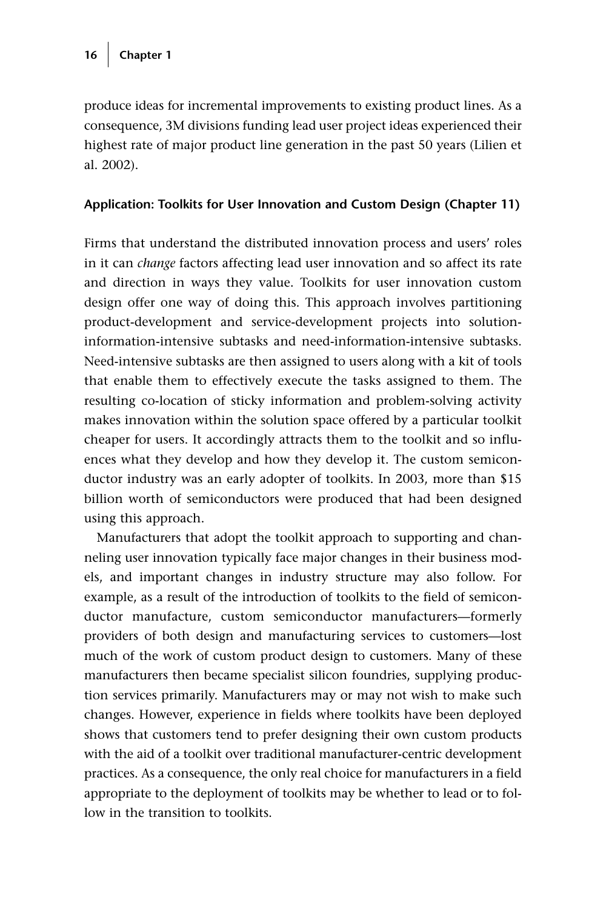produce ideas for incremental improvements to existing product lines. As a consequence, 3M divisions funding lead user project ideas experienced their highest rate of major product line generation in the past 50 years (Lilien et al. 2002).

# **Application: Toolkits for User Innovation and Custom Design (Chapter 11)**

Firms that understand the distributed innovation process and users' roles in it can *change* factors affecting lead user innovation and so affect its rate and direction in ways they value. Toolkits for user innovation custom design offer one way of doing this. This approach involves partitioning product-development and service-development projects into solutioninformation-intensive subtasks and need-information-intensive subtasks. Need-intensive subtasks are then assigned to users along with a kit of tools that enable them to effectively execute the tasks assigned to them. The resulting co-location of sticky information and problem-solving activity makes innovation within the solution space offered by a particular toolkit cheaper for users. It accordingly attracts them to the toolkit and so influences what they develop and how they develop it. The custom semiconductor industry was an early adopter of toolkits. In 2003, more than \$15 billion worth of semiconductors were produced that had been designed using this approach.

Manufacturers that adopt the toolkit approach to supporting and channeling user innovation typically face major changes in their business models, and important changes in industry structure may also follow. For example, as a result of the introduction of toolkits to the field of semiconductor manufacture, custom semiconductor manufacturers—formerly providers of both design and manufacturing services to customers—lost much of the work of custom product design to customers. Many of these manufacturers then became specialist silicon foundries, supplying production services primarily. Manufacturers may or may not wish to make such changes. However, experience in fields where toolkits have been deployed shows that customers tend to prefer designing their own custom products with the aid of a toolkit over traditional manufacturer-centric development practices. As a consequence, the only real choice for manufacturers in a field appropriate to the deployment of toolkits may be whether to lead or to follow in the transition to toolkits.